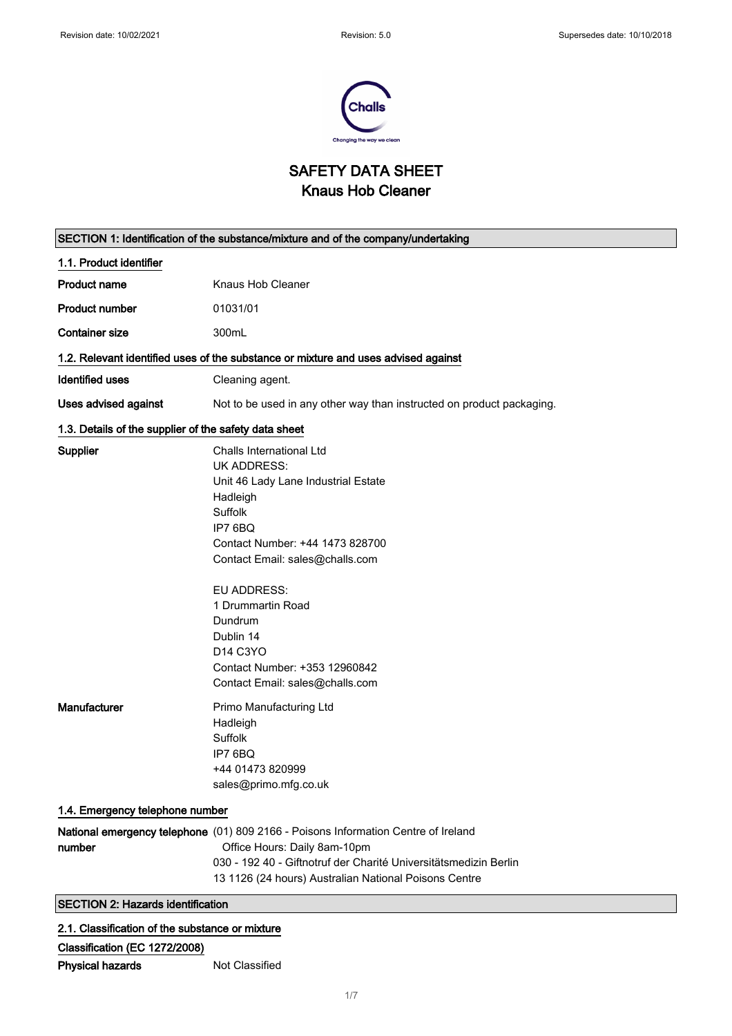$\mathsf{r}$ 



## SAFETY DATA SHEET Knaus Hob Cleaner

|                                                       | SECTION 1: Identification of the substance/mixture and of the company/undertaking                                                                                                                                                                                                                                                                                         |
|-------------------------------------------------------|---------------------------------------------------------------------------------------------------------------------------------------------------------------------------------------------------------------------------------------------------------------------------------------------------------------------------------------------------------------------------|
| 1.1. Product identifier                               |                                                                                                                                                                                                                                                                                                                                                                           |
| <b>Product name</b>                                   | Knaus Hob Cleaner                                                                                                                                                                                                                                                                                                                                                         |
| <b>Product number</b>                                 | 01031/01                                                                                                                                                                                                                                                                                                                                                                  |
| <b>Container size</b>                                 | 300mL                                                                                                                                                                                                                                                                                                                                                                     |
|                                                       | 1.2. Relevant identified uses of the substance or mixture and uses advised against                                                                                                                                                                                                                                                                                        |
| <b>Identified uses</b>                                | Cleaning agent.                                                                                                                                                                                                                                                                                                                                                           |
| <b>Uses advised against</b>                           | Not to be used in any other way than instructed on product packaging.                                                                                                                                                                                                                                                                                                     |
| 1.3. Details of the supplier of the safety data sheet |                                                                                                                                                                                                                                                                                                                                                                           |
| Supplier                                              | Challs International Ltd<br><b>UK ADDRESS:</b><br>Unit 46 Lady Lane Industrial Estate<br>Hadleigh<br>Suffolk<br>IP7 6BQ<br>Contact Number: +44 1473 828700<br>Contact Email: sales@challs.com<br><b>EU ADDRESS:</b><br>1 Drummartin Road<br>Dundrum<br>Dublin 14<br>D <sub>14</sub> C <sub>3</sub> YO<br>Contact Number: +353 12960842<br>Contact Email: sales@challs.com |
| Manufacturer                                          | Primo Manufacturing Ltd<br>Hadleigh<br>Suffolk<br>IP7 6BQ<br>+44 01473 820999<br>sales@primo.mfg.co.uk                                                                                                                                                                                                                                                                    |
| 1.4. Emergency telephone number                       |                                                                                                                                                                                                                                                                                                                                                                           |
| number                                                | National emergency telephone (01) 809 2166 - Poisons Information Centre of Ireland<br>Office Hours: Daily 8am-10pm<br>030 - 192 40 - Giftnotruf der Charité Universitätsmedizin Berlin<br>13 1126 (24 hours) Australian National Poisons Centre                                                                                                                           |
| <b>SECTION 2: Hazards identification</b>              |                                                                                                                                                                                                                                                                                                                                                                           |
|                                                       |                                                                                                                                                                                                                                                                                                                                                                           |

### 2.1. Classification of the substance or mixture

| Classification (EC 1272/2008) |                |
|-------------------------------|----------------|
| <b>Physical hazards</b>       | Not Classified |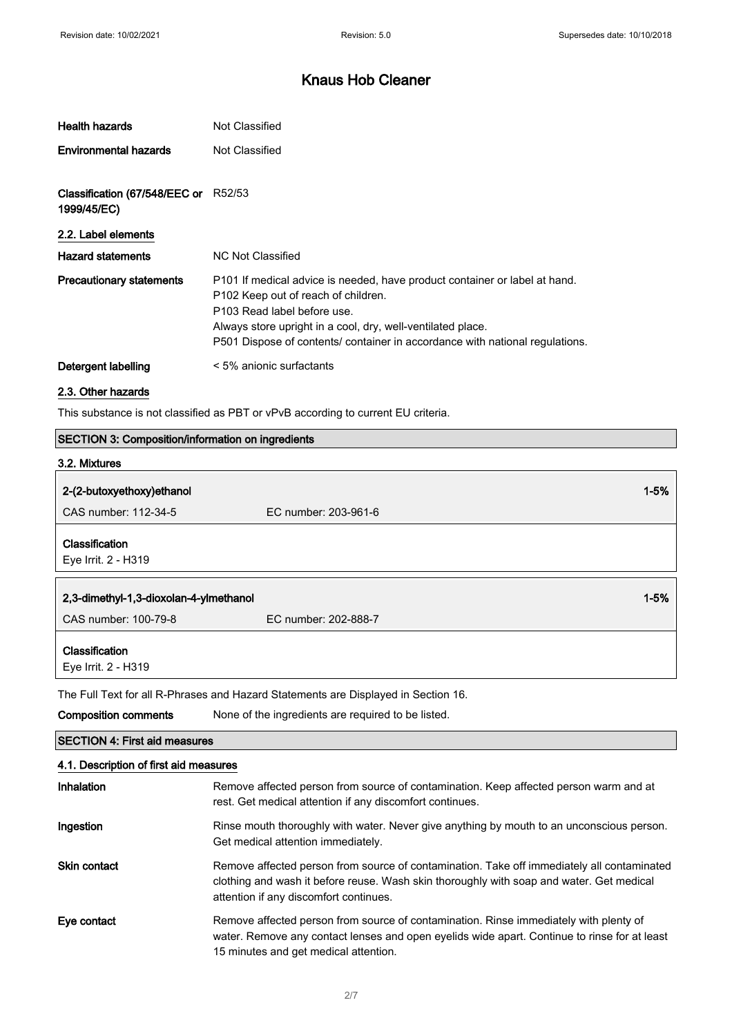| Health hazards                               | Not Classified                                                                                                                                                                                                                                                                                  |
|----------------------------------------------|-------------------------------------------------------------------------------------------------------------------------------------------------------------------------------------------------------------------------------------------------------------------------------------------------|
| <b>Environmental hazards</b>                 | Not Classified                                                                                                                                                                                                                                                                                  |
| Classification (67/548/EEC or<br>1999/45/EC) | R52/53                                                                                                                                                                                                                                                                                          |
| 2.2. Label elements                          |                                                                                                                                                                                                                                                                                                 |
| <b>Hazard statements</b>                     | NC Not Classified                                                                                                                                                                                                                                                                               |
| <b>Precautionary statements</b>              | P101 If medical advice is needed, have product container or label at hand.<br>P102 Keep out of reach of children.<br>P103 Read label before use.<br>Always store upright in a cool, dry, well-ventilated place.<br>P501 Dispose of contents/ container in accordance with national regulations. |
| Detergent labelling                          | < 5% anionic surfactants                                                                                                                                                                                                                                                                        |

### 2.3. Other hazards

This substance is not classified as PBT or vPvB according to current EU criteria.

| <b>SECTION 3: Composition/information on ingredients</b> |                                                                                                                                                                                                                                  |
|----------------------------------------------------------|----------------------------------------------------------------------------------------------------------------------------------------------------------------------------------------------------------------------------------|
| 3.2. Mixtures                                            |                                                                                                                                                                                                                                  |
| 2-(2-butoxyethoxy)ethanol                                | $1 - 5%$                                                                                                                                                                                                                         |
| CAS number: 112-34-5                                     | EC number: 203-961-6                                                                                                                                                                                                             |
| Classification<br>Eye Irrit. 2 - H319                    |                                                                                                                                                                                                                                  |
|                                                          |                                                                                                                                                                                                                                  |
| 2,3-dimethyl-1,3-dioxolan-4-ylmethanol                   | $1 - 5%$                                                                                                                                                                                                                         |
| CAS number: 100-79-8                                     | EC number: 202-888-7                                                                                                                                                                                                             |
| Classification<br>Eye Irrit. 2 - H319                    |                                                                                                                                                                                                                                  |
|                                                          | The Full Text for all R-Phrases and Hazard Statements are Displayed in Section 16.                                                                                                                                               |
| <b>Composition comments</b>                              | None of the ingredients are required to be listed.                                                                                                                                                                               |
| <b>SECTION 4: First aid measures</b>                     |                                                                                                                                                                                                                                  |
| 4.1. Description of first aid measures                   |                                                                                                                                                                                                                                  |
| Inhalation                                               | Remove affected person from source of contamination. Keep affected person warm and at<br>rest. Get medical attention if any discomfort continues.                                                                                |
| Ingestion                                                | Rinse mouth thoroughly with water. Never give anything by mouth to an unconscious person.<br>Get medical attention immediately.                                                                                                  |
| Skin contact                                             | Remove affected person from source of contamination. Take off immediately all contaminated<br>clothing and wash it before reuse. Wash skin thoroughly with soap and water. Get medical<br>attention if any discomfort continues. |
| Eye contact                                              | Remove affected person from source of contamination. Rinse immediately with plenty of<br>water. Remove any contact lenses and open eyelids wide apart. Continue to rinse for at least<br>15 minutes and get medical attention.   |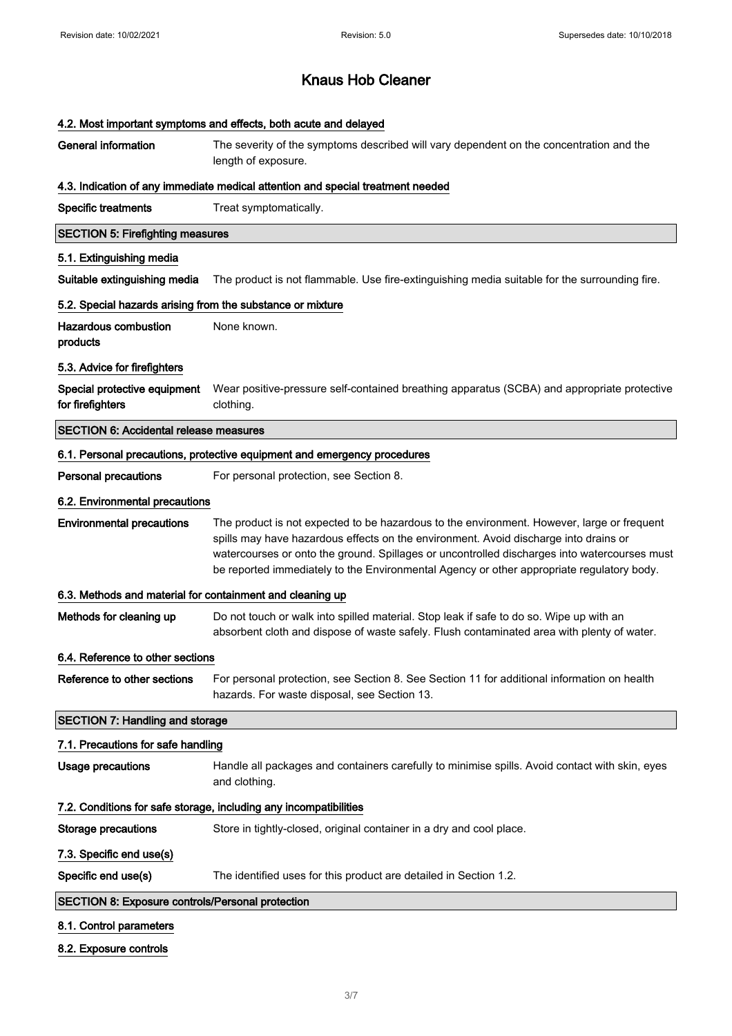| 4.2. Most important symptoms and effects, both acute and delayed  |                                                                                                                                                                                                                                                                                                                                                                                 |
|-------------------------------------------------------------------|---------------------------------------------------------------------------------------------------------------------------------------------------------------------------------------------------------------------------------------------------------------------------------------------------------------------------------------------------------------------------------|
| <b>General information</b>                                        | The severity of the symptoms described will vary dependent on the concentration and the<br>length of exposure.                                                                                                                                                                                                                                                                  |
|                                                                   | 4.3. Indication of any immediate medical attention and special treatment needed                                                                                                                                                                                                                                                                                                 |
| <b>Specific treatments</b>                                        | Treat symptomatically.                                                                                                                                                                                                                                                                                                                                                          |
| <b>SECTION 5: Firefighting measures</b>                           |                                                                                                                                                                                                                                                                                                                                                                                 |
| 5.1. Extinguishing media                                          |                                                                                                                                                                                                                                                                                                                                                                                 |
| Suitable extinguishing media                                      | The product is not flammable. Use fire-extinguishing media suitable for the surrounding fire.                                                                                                                                                                                                                                                                                   |
| 5.2. Special hazards arising from the substance or mixture        |                                                                                                                                                                                                                                                                                                                                                                                 |
| <b>Hazardous combustion</b><br>products                           | None known.                                                                                                                                                                                                                                                                                                                                                                     |
| 5.3. Advice for firefighters                                      |                                                                                                                                                                                                                                                                                                                                                                                 |
| Special protective equipment<br>for firefighters                  | Wear positive-pressure self-contained breathing apparatus (SCBA) and appropriate protective<br>clothing.                                                                                                                                                                                                                                                                        |
| <b>SECTION 6: Accidental release measures</b>                     |                                                                                                                                                                                                                                                                                                                                                                                 |
|                                                                   | 6.1. Personal precautions, protective equipment and emergency procedures                                                                                                                                                                                                                                                                                                        |
| <b>Personal precautions</b>                                       | For personal protection, see Section 8.                                                                                                                                                                                                                                                                                                                                         |
| 6.2. Environmental precautions                                    |                                                                                                                                                                                                                                                                                                                                                                                 |
| <b>Environmental precautions</b>                                  | The product is not expected to be hazardous to the environment. However, large or frequent<br>spills may have hazardous effects on the environment. Avoid discharge into drains or<br>watercourses or onto the ground. Spillages or uncontrolled discharges into watercourses must<br>be reported immediately to the Environmental Agency or other appropriate regulatory body. |
| 6.3. Methods and material for containment and cleaning up         |                                                                                                                                                                                                                                                                                                                                                                                 |
| Methods for cleaning up                                           | Do not touch or walk into spilled material. Stop leak if safe to do so. Wipe up with an<br>absorbent cloth and dispose of waste safely. Flush contaminated area with plenty of water.                                                                                                                                                                                           |
| 6.4. Reference to other sections                                  |                                                                                                                                                                                                                                                                                                                                                                                 |
| Reference to other sections                                       | For personal protection, see Section 8. See Section 11 for additional information on health<br>hazards. For waste disposal, see Section 13.                                                                                                                                                                                                                                     |
| <b>SECTION 7: Handling and storage</b>                            |                                                                                                                                                                                                                                                                                                                                                                                 |
| 7.1. Precautions for safe handling                                |                                                                                                                                                                                                                                                                                                                                                                                 |
| <b>Usage precautions</b>                                          | Handle all packages and containers carefully to minimise spills. Avoid contact with skin, eyes<br>and clothing.                                                                                                                                                                                                                                                                 |
| 7.2. Conditions for safe storage, including any incompatibilities |                                                                                                                                                                                                                                                                                                                                                                                 |
| <b>Storage precautions</b>                                        | Store in tightly-closed, original container in a dry and cool place.                                                                                                                                                                                                                                                                                                            |
| 7.3. Specific end use(s)                                          |                                                                                                                                                                                                                                                                                                                                                                                 |
| Specific end use(s)                                               | The identified uses for this product are detailed in Section 1.2.                                                                                                                                                                                                                                                                                                               |
| <b>SECTION 8: Exposure controls/Personal protection</b>           |                                                                                                                                                                                                                                                                                                                                                                                 |
| 8.1. Control parameters                                           |                                                                                                                                                                                                                                                                                                                                                                                 |
| 8.2. Exposure controls                                            |                                                                                                                                                                                                                                                                                                                                                                                 |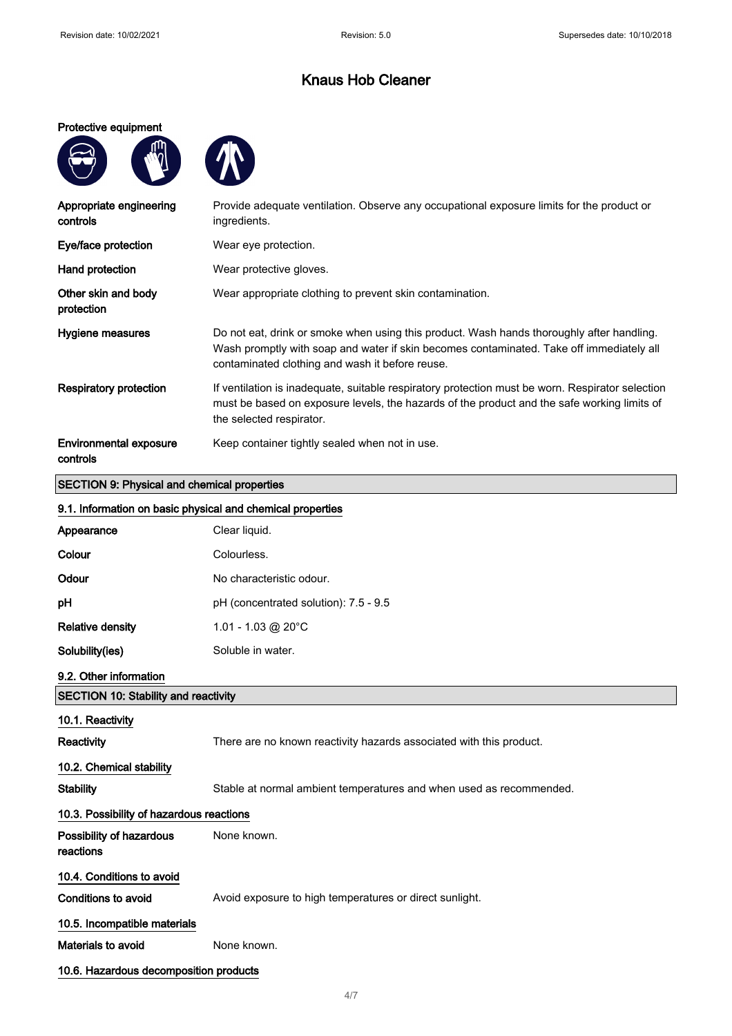#### Protective equipment

**ANT** 



| Appropriate engineering<br>controls                | Provide adequate ventilation. Observe any occupational exposure limits for the product or<br>ingredients.                                                                                                                                |
|----------------------------------------------------|------------------------------------------------------------------------------------------------------------------------------------------------------------------------------------------------------------------------------------------|
| Eye/face protection                                | Wear eye protection.                                                                                                                                                                                                                     |
| Hand protection                                    | Wear protective gloves.                                                                                                                                                                                                                  |
| Other skin and body<br>protection                  | Wear appropriate clothing to prevent skin contamination.                                                                                                                                                                                 |
| Hygiene measures                                   | Do not eat, drink or smoke when using this product. Wash hands thoroughly after handling.<br>Wash promptly with soap and water if skin becomes contaminated. Take off immediately all<br>contaminated clothing and wash it before reuse. |
| Respiratory protection                             | If ventilation is inadequate, suitable respiratory protection must be worn. Respirator selection<br>must be based on exposure levels, the hazards of the product and the safe working limits of<br>the selected respirator.              |
| <b>Environmental exposure</b><br>controls          | Keep container tightly sealed when not in use.                                                                                                                                                                                           |
| <b>SECTION 9: Physical and chemical properties</b> |                                                                                                                                                                                                                                          |

### 9.1. Information on basic physical and chemical properties

| a. I. Illiolination on basic physical and chemical properties |                                                                     |
|---------------------------------------------------------------|---------------------------------------------------------------------|
| Appearance                                                    | Clear liquid.                                                       |
| Colour                                                        | Colourless.                                                         |
| Odour                                                         | No characteristic odour.                                            |
| pH                                                            | pH (concentrated solution): 7.5 - 9.5                               |
| <b>Relative density</b>                                       | 1.01 - 1.03 @ 20 $^{\circ}$ C                                       |
| Solubility(ies)                                               | Soluble in water.                                                   |
| 9.2. Other information                                        |                                                                     |
| <b>SECTION 10: Stability and reactivity</b>                   |                                                                     |
| 10.1. Reactivity                                              |                                                                     |
| <b>Reactivity</b>                                             | There are no known reactivity hazards associated with this product. |
| 10.2. Chemical stability                                      |                                                                     |
| <b>Stability</b>                                              | Stable at normal ambient temperatures and when used as recommended. |
| 10.3. Possibility of hazardous reactions                      |                                                                     |
| Possibility of hazardous<br>reactions                         | None known.                                                         |
| 10.4. Conditions to avoid                                     |                                                                     |
| <b>Conditions to avoid</b>                                    | Avoid exposure to high temperatures or direct sunlight.             |
| 10.5. Incompatible materials                                  |                                                                     |
| Materials to avoid                                            | None known.                                                         |
| 10.6. Hazardous decomposition products                        |                                                                     |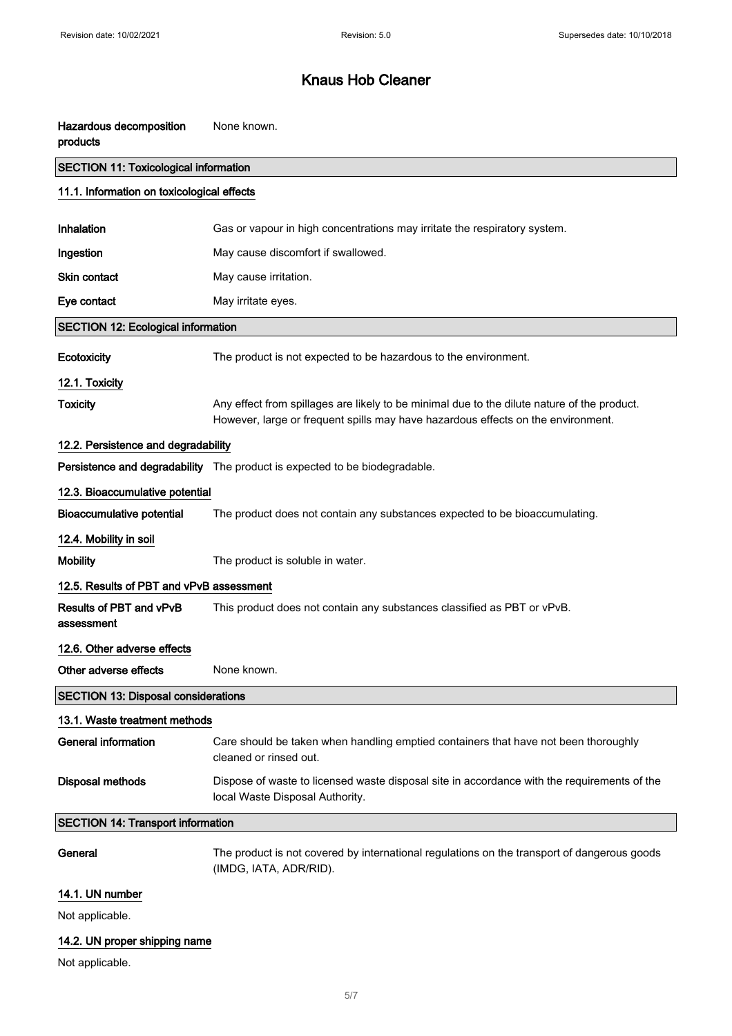| Hazardous decomposition<br>products          | None known.                                                                                                                                                                     |
|----------------------------------------------|---------------------------------------------------------------------------------------------------------------------------------------------------------------------------------|
| <b>SECTION 11: Toxicological information</b> |                                                                                                                                                                                 |
| 11.1. Information on toxicological effects   |                                                                                                                                                                                 |
| <b>Inhalation</b>                            | Gas or vapour in high concentrations may irritate the respiratory system.                                                                                                       |
| Ingestion                                    | May cause discomfort if swallowed.                                                                                                                                              |
| Skin contact                                 | May cause irritation.                                                                                                                                                           |
| Eye contact                                  | May irritate eyes.                                                                                                                                                              |
| <b>SECTION 12: Ecological information</b>    |                                                                                                                                                                                 |
| Ecotoxicity                                  | The product is not expected to be hazardous to the environment.                                                                                                                 |
| 12.1. Toxicity                               |                                                                                                                                                                                 |
| <b>Toxicity</b>                              | Any effect from spillages are likely to be minimal due to the dilute nature of the product.<br>However, large or frequent spills may have hazardous effects on the environment. |
| 12.2. Persistence and degradability          |                                                                                                                                                                                 |
|                                              | Persistence and degradability The product is expected to be biodegradable.                                                                                                      |
| 12.3. Bioaccumulative potential              |                                                                                                                                                                                 |
| <b>Bioaccumulative potential</b>             | The product does not contain any substances expected to be bioaccumulating.                                                                                                     |
| 12.4. Mobility in soil                       |                                                                                                                                                                                 |
| <b>Mobility</b>                              | The product is soluble in water.                                                                                                                                                |
| 12.5. Results of PBT and vPvB assessment     |                                                                                                                                                                                 |
| Results of PBT and vPvB<br>assessment        | This product does not contain any substances classified as PBT or vPvB.                                                                                                         |
| 12.6. Other adverse effects                  |                                                                                                                                                                                 |
| Other adverse effects                        | None known.                                                                                                                                                                     |
| <b>SECTION 13: Disposal considerations</b>   |                                                                                                                                                                                 |
| 13.1. Waste treatment methods                |                                                                                                                                                                                 |
| <b>General information</b>                   | Care should be taken when handling emptied containers that have not been thoroughly<br>cleaned or rinsed out.                                                                   |
| <b>Disposal methods</b>                      | Dispose of waste to licensed waste disposal site in accordance with the requirements of the<br>local Waste Disposal Authority.                                                  |
| <b>SECTION 14: Transport information</b>     |                                                                                                                                                                                 |
| General                                      | The product is not covered by international regulations on the transport of dangerous goods<br>(IMDG, IATA, ADR/RID).                                                           |
| 14.1. UN number                              |                                                                                                                                                                                 |
| Not applicable.                              |                                                                                                                                                                                 |

### 14.2. UN proper shipping name

Not applicable.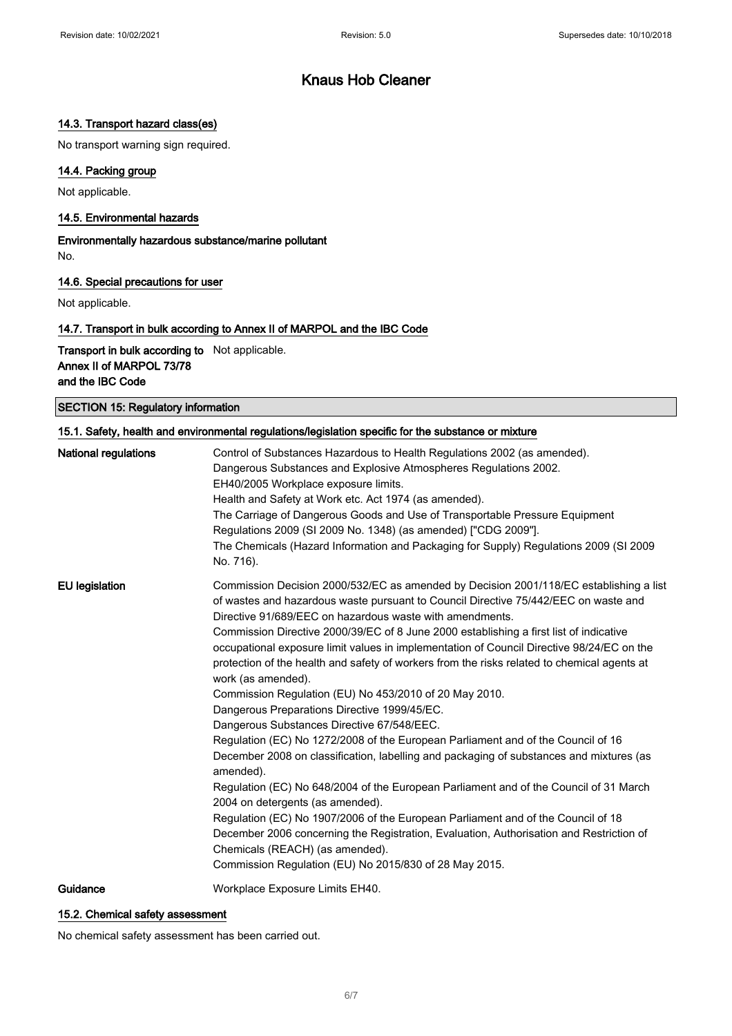### 14.3. Transport hazard class(es)

No transport warning sign required.

### 14.4. Packing group

Not applicable.

#### 14.5. Environmental hazards

Environmentally hazardous substance/marine pollutant No.

#### 14.6. Special precautions for user

Not applicable.

### 14.7. Transport in bulk according to Annex II of MARPOL and the IBC Code

Transport in bulk according to Not applicable. Annex II of MARPOL 73/78 and the IBC Code

SECTION 15: Regulatory information

| 15.1. Safety, health and environmental regulations/legislation specific for the substance or mixture |                                                                                                                                                                                                                                                                                                                                                                                                                                                                                                                                                                                                                                                                                                                                                                                                                                                                                                                                                                                                                                                                                                                                                                                                                                                                                                                    |
|------------------------------------------------------------------------------------------------------|--------------------------------------------------------------------------------------------------------------------------------------------------------------------------------------------------------------------------------------------------------------------------------------------------------------------------------------------------------------------------------------------------------------------------------------------------------------------------------------------------------------------------------------------------------------------------------------------------------------------------------------------------------------------------------------------------------------------------------------------------------------------------------------------------------------------------------------------------------------------------------------------------------------------------------------------------------------------------------------------------------------------------------------------------------------------------------------------------------------------------------------------------------------------------------------------------------------------------------------------------------------------------------------------------------------------|
| <b>National regulations</b>                                                                          | Control of Substances Hazardous to Health Regulations 2002 (as amended).<br>Dangerous Substances and Explosive Atmospheres Regulations 2002.<br>EH40/2005 Workplace exposure limits.<br>Health and Safety at Work etc. Act 1974 (as amended).<br>The Carriage of Dangerous Goods and Use of Transportable Pressure Equipment<br>Regulations 2009 (SI 2009 No. 1348) (as amended) ["CDG 2009"].<br>The Chemicals (Hazard Information and Packaging for Supply) Regulations 2009 (SI 2009<br>No. 716).                                                                                                                                                                                                                                                                                                                                                                                                                                                                                                                                                                                                                                                                                                                                                                                                               |
| <b>EU</b> legislation                                                                                | Commission Decision 2000/532/EC as amended by Decision 2001/118/EC establishing a list<br>of wastes and hazardous waste pursuant to Council Directive 75/442/EEC on waste and<br>Directive 91/689/EEC on hazardous waste with amendments.<br>Commission Directive 2000/39/EC of 8 June 2000 establishing a first list of indicative<br>occupational exposure limit values in implementation of Council Directive 98/24/EC on the<br>protection of the health and safety of workers from the risks related to chemical agents at<br>work (as amended).<br>Commission Regulation (EU) No 453/2010 of 20 May 2010.<br>Dangerous Preparations Directive 1999/45/EC.<br>Dangerous Substances Directive 67/548/EEC.<br>Regulation (EC) No 1272/2008 of the European Parliament and of the Council of 16<br>December 2008 on classification, labelling and packaging of substances and mixtures (as<br>amended).<br>Regulation (EC) No 648/2004 of the European Parliament and of the Council of 31 March<br>2004 on detergents (as amended).<br>Regulation (EC) No 1907/2006 of the European Parliament and of the Council of 18<br>December 2006 concerning the Registration, Evaluation, Authorisation and Restriction of<br>Chemicals (REACH) (as amended).<br>Commission Regulation (EU) No 2015/830 of 28 May 2015. |
| Guidance                                                                                             | Workplace Exposure Limits EH40.                                                                                                                                                                                                                                                                                                                                                                                                                                                                                                                                                                                                                                                                                                                                                                                                                                                                                                                                                                                                                                                                                                                                                                                                                                                                                    |

### 15.2. Chemical safety assessment

No chemical safety assessment has been carried out.